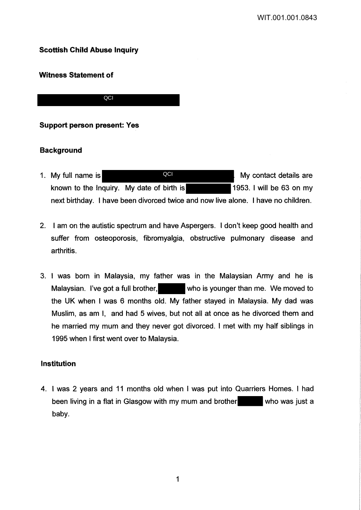# **Scottish Child Abuse Inquiry**

# **Witness Statement of**

**QCI** 

# **Support person present: Yes**

# **Background**

- 1. My full name is **Number of August 2001** My contact details are known to the Inquiry. My date of birth is 1953. I will be 63 on my next birthday. I have been divorced twice and now live alone. I have no children. **QCI**
- 2. I am on the autistic spectrum and have Aspergers. I don't keep good health and suffer from osteoporosis, fibromyalgia, obstructive pulmonary disease and arthritis.
- 3. I was born in Malaysia, my father was in the Malaysian Army and he is Malaysian. I've got a full brother, who is younger than me. We moved to the UK when I was 6 months old. My father stayed in Malaysia. My dad was Muslim, as am I, and had 5 wives, but not all at once as he divorced them and he married my mum and they never got divorced. I met with my half siblings in 1995 when I first went over to Malaysia.

## **Institution**

4. I was 2 years and 11 months old when I was put into Quarriers Homes. I had been living in a flat in Glasgow with my mum and brother who was just a baby.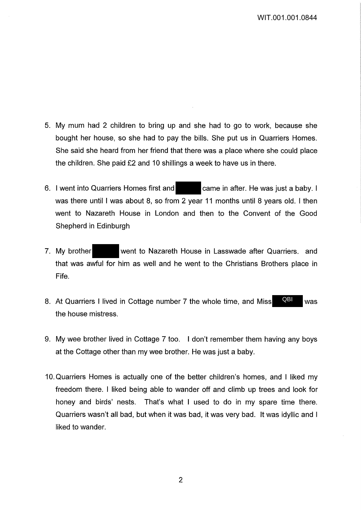- 5. My mum had 2 children to bring up and she had to go to work, because she bought her house, so she had to pay the bills. She put us in Quarriers Homes. She said she heard from her friend that there was a place where she could place the children. She paid £2 and 10 shillings a week to have us in there.
- 6. I went into Quarriers Homes first and came in after. He was just a baby. I was there until I was about 8, so from 2 year 11 months until 8 years old. I then went to Nazareth House in London and then to the Convent of the Good Shepherd in Edinburgh
- 7. My brother went to Nazareth House in Lasswade after Quarriers, and that was awful for him as well and he went to the Christians Brothers place in Fife.
- 8. At Quarriers I lived in Cottage number 7 the whole time, and Miss QBI was the house mistress. QBI
- 9. My wee brother lived in Cottage 7 too. I don't remember them having any boys at the Cottage other than my wee brother. He was just a baby.
- 10. Quarriers Homes is actually one of the better children's homes, and I liked my freedom there. I liked being able to wander off and climb up trees and look for honey and birds' nests. That's what I used to do in my spare time there. Quarriers wasn't all bad, but when it was bad, it was very bad. It was idyllic and I liked to wander.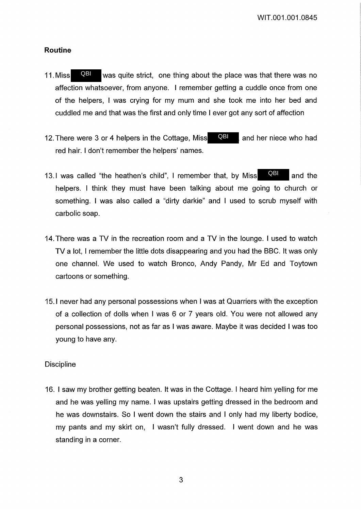WIT.001.001.0845

### **Routine**

- 11. Miss **QBL** was quite strict, one thing about the place was that there was no affection whatsoever, from anyone. I remember getting a cuddle once from one of the helpers, I was crying for my mum and she took me into her bed and cuddled me and that was the first and only time I ever got any sort of affection QBI
- 12. There were 3 or 4 helpers in the Cottage, Miss  $\Box$  and her niece who had red hair. I don't remember the helpers' names. QBI
- 13.1 was called "the heathen's child", I remember that, by Miss **QBL** and the helpers. I think they must have been talking about me going to church or something. I was also called a "dirty darkie" and I used to scrub myself with carbolic soap. QBI
- 14. There was a TV in the recreation room and a TV in the lounge. I used to watch TV a lot, I remember the little dots disappearing and you had the BBC. It was only one channel. We used to watch Bronco, Andy Pandy, Mr Ed and Toytown cartoons or something.
- 15.1 never had any personal possessions when I was at Quarriers with the exception of a collection of dolls when I was 6 or 7 years old. You were not allowed any personal possessions, not as far as I was aware. Maybe it was decided I was too young to have any.

### **Discipline**

16. I saw my brother getting beaten. It was in the Cottage. I heard him yelling for me and he was yelling my name. I was upstairs getting dressed in the bedroom and he was downstairs. So I went down the stairs and I only had my liberty bodice, my pants and my skirt on, I wasn't fully dressed. I went down and he was standing in a corner.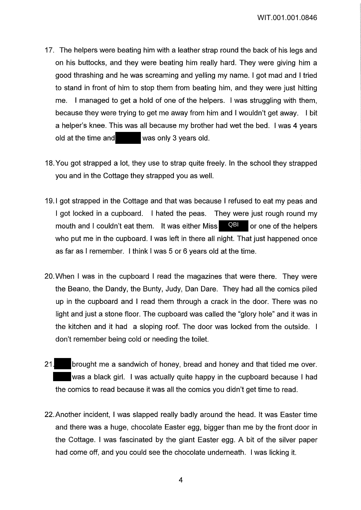- 17. The helpers were beating him with a leather strap round the back of his legs and on his buttocks, and they were beating him really hard. They were giving him a good thrashing and he was screaming and yelling my name. I got mad and I tried to stand in front of him to stop them from beating him, and they were just hitting me. I managed to get a hold of one of the helpers. I was struggling with them, because they were trying to get me away from him and I wouldn't get away. I bit a helper's knee. This was all because my brother had wet the bed. I was 4 years old at the time and was only 3 years old.
- 18. You got strapped a lot, they use to strap quite freely. In the school they strapped you and in the Cottage they strapped you as well.
- 19.1 got strapped in the Cottage and that was because I refused to eat my peas and I got locked in a cupboard. I hated the peas. They were just rough round my mouth and I couldn't eat them. It was either Miss **QBI** or one of the helpers who put me in the cupboard. I was left in there all night. That just happened once as far as I remember. I think I was 5 or 6 years old at the time.
- 20. When I was in the cupboard I read the magazines that were there. They were the Beano, the Dandy, the Bunty, Judy, Dan Dare. They had all the comics piled up in the cupboard and I read them through a crack in the door. There was no light and just a stone floor. The cupboard was called the "glory hole" and it was in the kitchen and it had a sloping roof. The door was locked from the outside. don't remember being cold or needing the toilet.
- 21. brought me a sandwich of honey, bread and honey and that tided me over. was a black girl. I was actually quite happy in the cupboard because I had the comics to read because it was all the comics you didn't get time to read.
- 22.Another incident, I was slapped really badly around the head. It was Easter time and there was a huge, chocolate Easter egg, bigger than me by the front door in the Cottage. I was fascinated by the giant Easter egg. A bit of the silver paper had come off, and you could see the chocolate underneath. I was licking it.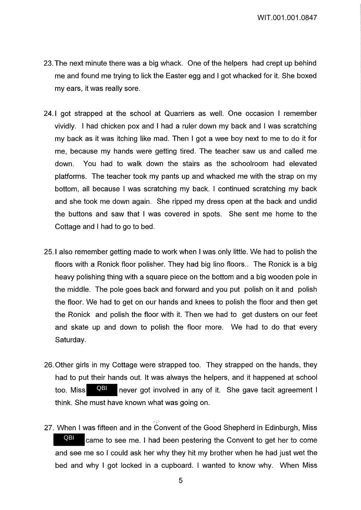- 23. The next minute there was a big whack. One of the helpers had crept up behind me and found me trying to lick the Easter egg and I got whacked for it. She boxed my ears, it was really sore.
- 24.1 got strapped at the school at Quarriers as well. One occasion I remember vividly. I had chicken pox and I had a ruler down my back and I was scratching my back as it was itching like mad. Then I got a wee boy next to me to do it for me, because my hands were getting tired. The teacher saw us and called me down. You had to walk down the stairs as the schoolroom had elevated platforms. The teacher took my pants up and whacked me with the strap on my bottom, all because I was scratching my back. I continued scratching my back and she took me down again. She ripped my dress open at the back and undid the buttons and saw that I was covered in spots. She sent me home to the Cottage and I had to go to bed.
- 25.1 also remember getting made to work when I was only little. We had to polish the floors with a Ronick floor polisher. They had big lino floors.. The Ronick is a big heavy polishing thing with a square piece on the bottom and a big wooden pole in the middle. The pole goes back and forward and you put polish on it and polish the floor. We had to get on our hands and knees to polish the floor and then get the Ronick and polish the floor with it. Then we had to get dusters on our feet and skate up and down to polish the floor more. We had to do that every Saturday.
- 26. Other girls in my Cottage were strapped too. They strapped on the hands, they had to put their hands out. It was always the helpers, and it happened at school too. Miss **QBI** never got involved in any of it. She gave tacit agreement I think. She must have known what was going on. QBI
- 27. When I was fifteen and in the Convent of the Good Shepherd in Edinburgh, Miss came to see me. I had been pestering the Convent to get her to come and see me so I could ask her why they hit my brother when he had just wet the bed and why I got locked in a cupboard. I wanted to know why. When Miss QBI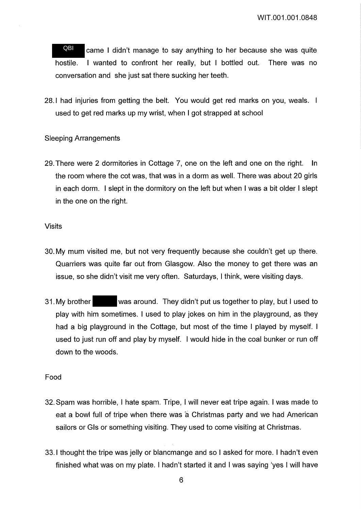came I didn't manage to say anything to her because she was quite hostile. I wanted to confront her really, but I bottled out. There was no conversation and she just sat there sucking her teeth. QBI

28.1 had injuries from getting the belt. You would get red marks on you, weals. used to get red marks up my wrist, when I got strapped at school

## Sleeping Arrangements

29. There were 2 dormitories in Cottage 7, one on the left and one on the right. In the room where the cot was, that was in a dorm as well. There was about 20 girls in each dorm. I slept in the dormitory on the left but when I was a bit older I slept in the one on the right.

### Visits

- 30. My mum visited me, but not very frequently because she couldn't get up there. Quarriers was quite far out from Glasgow. Also the money to get there was an issue, so she didn't visit me very often. Saturdays, I think, were visiting days.
- 31. My brother was around. They didn't put us together to play, but I used to play with him sometimes. I used to play jokes on him in the playground, as they had a big playground in the Cottage, but most of the time I played by myself. I used to just run off and play by myself. I would hide in the coal bunker or run off down to the woods.

## Food

- 32. Spam was horrible, I hate spam. Tripe, I will never eat tripe again. I was made to eat a bowl full of tripe when there was a Christmas party and we had American sailors or Gls or something visiting. They used to come visiting at Christmas.
- 33.1 thought the tripe was jelly or blancmange and so I asked for more. I hadn't even finished what was on my plate. I hadn't started it and I was saying 'yes I will have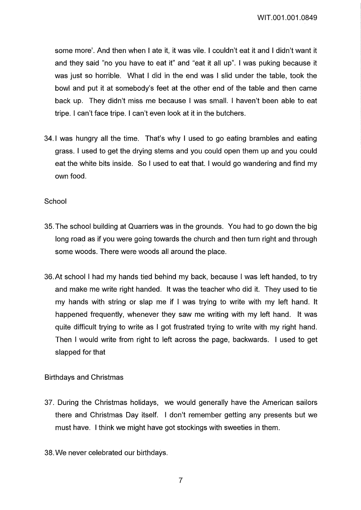WIT.001.001.0849

some more'. And then when I ate it, it was vile. I couldn't eat it and I didn't want it and they said "no you have to eat it" and "eat it all up". I was puking because it was just so horrible. What I did in the end was I slid under the table, took the bowl and put it at somebody's feet at the other end of the table and then came back up. They didn't miss me because I was small. I haven't been able to eat tripe. I can't face tripe. I can't even look at it in the butchers.

34.1 was hungry all the time. That's why I used to go eating brambles and eating grass. I used to get the drying stems and you could open them up and you could eat the white bits inside. So I used to eat that. I would go wandering and find my own food.

### School

- 35. The school building at Quarriers was in the grounds. You had to go down the big long road as if you were going towards the church and then turn right and through some woods. There were woods all around the place.
- 36.At school I had my hands tied behind my back, because I was left handed, to try and make me write right handed. It was the teacher who did it. They used to tie my hands with string or slap me if I was trying to write with my left hand. It happened frequently, whenever they saw me writing with my left hand. It was quite difficult trying to write as I got frustrated trying to write with my right hand. Then I would write from right to left across the page, backwards. I used to get slapped for that

## Birthdays and Christmas

- 37. During the Christmas holidays, we would generally have the American sailors there and Christmas Day itself. I don't remember getting any presents but we must have. I think we might have got stockings with sweeties in them.
- 38. We never celebrated our birthdays.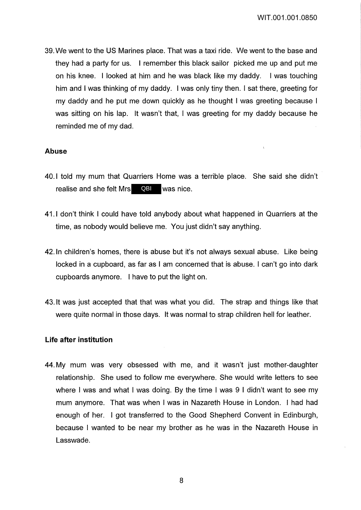$\bar{\chi}$ 

39. We went to the US Marines place. That was a taxi ride. We went to the base and they had a party for us. I remember this black sailor picked me up and put me on his knee. I looked at him and he was black like my daddy. I was touching him and I was thinking of my daddy. I was only tiny then. I sat there, greeting for my daddy and he put me down quickly as he thought I was greeting because I was sitting on his lap. It wasn't that, I was greeting for my daddy because he reminded me of my dad.

### **Abuse**

- 40.1 told my mum that Quarriers Home was a terrible place. She said she didn't realise and she felt Mrs QBI was nice.
- 41.1 don't think I could have told anybody about what happened in Quarriers at the time, as nobody would believe me. You just didn't say anything.
- 42. In children's homes, there is abuse but it's not always sexual abuse. Like being locked in a cupboard, as far as I am concerned that is abuse. I can't go into dark cupboards anymore. I have to put the light on.
- 43. It was just accepted that that was what you did. The strap and things like that were quite normal in those days. It was normal to strap children hell for leather.

### **Life after institution**

44. My mum was very obsessed with me, and it wasn't just mother-daughter relationship. She used to follow me everywhere. She would write letters to see where I was and what I was doing. By the time I was 9 I didn't want to see my mum anymore. That was when I was in Nazareth House in London. I had had enough of her. I got transferred to the Good Shepherd Convent in Edinburgh, because I wanted to be near my brother as he was in the Nazareth House in Lasswade.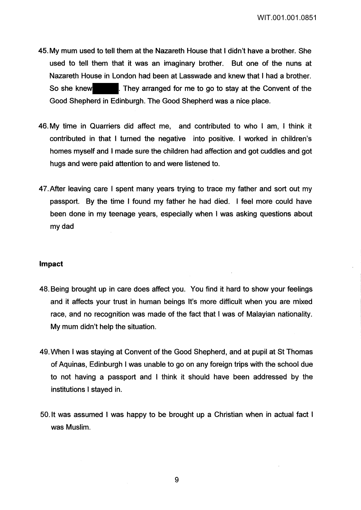WIT.001.001.0851

- 45. My mum used to tell them at the Nazareth House that I didn't have a brother. She used to tell them that it was an imaginary brother. But one of the nuns at Nazareth House in London had been at Lasswade and knew that I had a brother. So she knew . They arranged for me to go to stay at the Convent of the Good Shepherd in Edinburgh. The Good Shepherd was a nice place.
- 46. My time in Quarriers did affect me, and contributed to who I am, I think it contributed in that I turned the negative into positive. I worked in children's homes myself and I made sure the children had affection and got cuddles and got hugs and were paid attention to and were listened to.
- 4 7. After leaving care I spent many years trying to trace my father and sort out my passport. By the time I found my father he had died. I feel more could have been done in my teenage years, especially when I was asking questions about my dad

#### Impact

- 48. Being brought up in care does affect you. You find it hard to show your feelings and it affects your trust in human beings It's more difficult when you are mixed race, and no recognition was made of the fact that I was of Malayian nationality. My mum didn't help the situation.
- 49. When I was staying at Convent of the Good Shepherd, and at pupil at St Thomas of Aquinas, Edinburgh I was unable to go on any foreign trips with the school due to not having a passport and I think it should have been addressed by the institutions I stayed in.
- 50. It was assumed I was happy to be brought up a Christian when in actual fact I was Muslim.